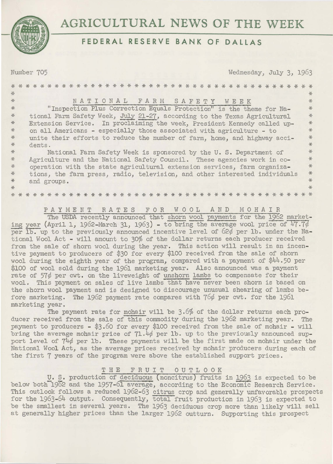

# AGRICULTURAL NEWS OF THE WEEK

## FEDERAL RESERVE BANK OF DAILAS

Number 705

Wednesday, July 3, 1963

| $\frac{1}{\sqrt{2}}$ |                                                                            | $\frac{1}{2}$ |
|----------------------|----------------------------------------------------------------------------|---------------|
| *                    | NATIONAL FARM SAFETY WEEK                                                  | $\frac{1}{2}$ |
| $*$                  | "Inspection Plus Correction Equals Protection" is the theme for Na-        | $*$           |
| $*$                  | tional Farm Safety Week, July 21-27, according to the Texas Agricultural   | *             |
| $*$                  | Extension Service. In proclaiming the week, President Kennedy called up-   | $*$           |
| $*$                  | on all Americans - especially those associated with agriculture - to       | $*$           |
| $*$                  | unite their efforts to reduce the number of farm, home, and highway acci-  | $*$           |
| $*$                  | dents.                                                                     | $*$           |
| $*$                  | National Farm Safety Week is sponsored by the U.S. Department of           | $+$           |
| *                    | Agriculture and the National Safety Council. These agencies work in co-    | $+$           |
| $*$                  | operation with the state agricultural extension services, farm organiza-   | $*$           |
| $\frac{1}{2}$        | tions, the farm press, radio, television, and other interested individuals | $*$           |
| $*$                  | and groups.                                                                | $\frac{1}{2}$ |
| $*$                  |                                                                            | $\frac{1}{2}$ |
|                      | $* *$<br>$* *$<br>$*$<br>* *<br>$*$<br>$*$<br>$*$<br>$*$                   |               |

PAYMENT RATES FOR WOOL AND MOHAIR<br>The USDA recently announced that shorn wool payments for the 1962 marketing year (April 1, 1962-March 31, 1963) - to bring the average wool price of 47.7% per Ib. up to the previously announced incentive level of  $62\phi$  per 1b. under the National Wool Act - will amount to 30% of the dollar returns each producer received from the sale of shorn wool during the year. This action will result in an incentive payment to producers of \$30 for every \$100 received from the sale of shorn wool during the eighth year of the program, compared with a payment of  $\frac{4}{4}$ .50 per \$100 of wool sold during the 1961 marketing year. Also announced was a payment rate of  $57\phi$  per cwt. on the liveweight of unshorn lambs to compensate for their wool. This payment on sales of live lambs that have never been shorn is based on the shorn wool payment and is designed to discourage unusual shearing of lambs before marketing. The 1962 payment rate compares with 76¢ per cwt. for the 1961 marketing year.

The payment rate for mohair will be 3.6% of the dollar returns each producer received from the sale of this commodity during the 1962 marketing year. The payment to producers - \$3.60 for every \$100 received from the sale of mohair - will bring the average mohair price of 71.4¢ per 1b. up to the previously announced support level of  $74\phi$  per lb. These payments will be the first made on mohair under the National Wool Act, as the average prices received by mohair producers during each of the first 7 years of the program were above the established support prices.

### FRUIT OUTLOOK THE

U. S. production of deciduous (noncitrus) fruits in 1963 is expected to be below both 1962 and the 1957-61 average, according to the Economic Research Service. This outlook follows a reduced  $1962-63$  citrus crop and generally unfavorable prospects for the  $1963-64$  output. Consequently, total fruit production in  $1963$  is expected to be the smallest in several years. The 1963 deciduous crop more than likely will sell at generally higher prices than the larger 1962 outturn. Supporting this prospect